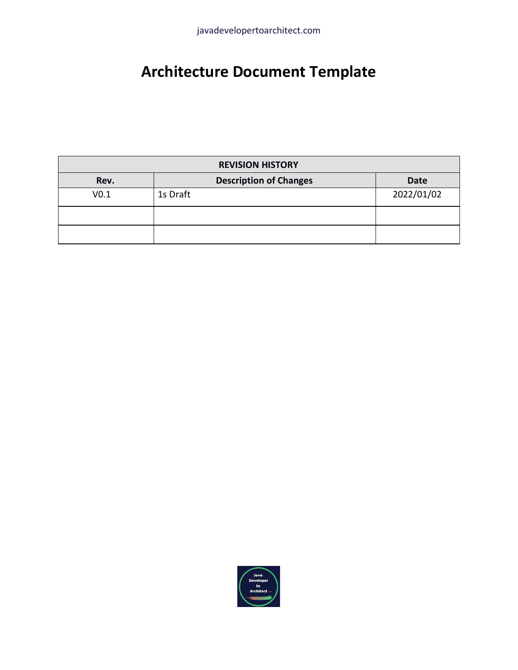# **Architecture Document Template**

| <b>REVISION HISTORY</b> |                               |             |  |
|-------------------------|-------------------------------|-------------|--|
| Rev.                    | <b>Description of Changes</b> | <b>Date</b> |  |
| V <sub>0.1</sub>        | 1s Draft                      | 2022/01/02  |  |
|                         |                               |             |  |
|                         |                               |             |  |

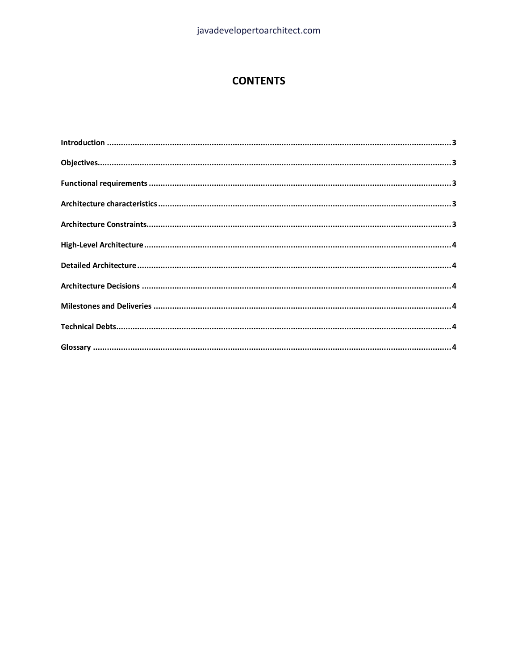#### **CONTENTS**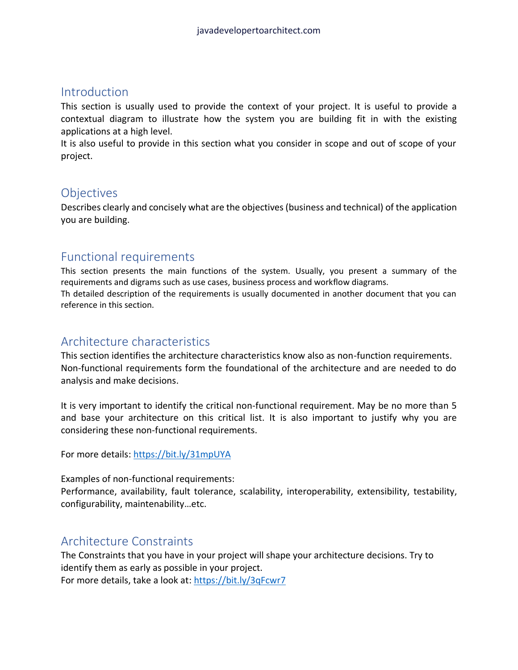## <span id="page-2-0"></span>**Introduction**

This section is usually used to provide the context of your project. It is useful to provide a contextual diagram to illustrate how the system you are building fit in with the existing applications at a high level.

It is also useful to provide in this section what you consider in scope and out of scope of your project.

## <span id="page-2-1"></span>**Objectives**

Describes clearly and concisely what are the objectives (business and technical) of the application you are building.

## <span id="page-2-2"></span>Functional requirements

This section presents the main functions of the system. Usually, you present a summary of the requirements and digrams such as use cases, business process and workflow diagrams. Th detailed description of the requirements is usually documented in another document that you can reference in this section.

## <span id="page-2-3"></span>Architecture characteristics

This section identifies the architecture characteristics know also as non-function requirements. Non-functional requirements form the foundational of the architecture and are needed to do analysis and make decisions.

It is very important to identify the critical non-functional requirement. May be no more than 5 and base your architecture on this critical list. It is also important to justify why you are considering these non-functional requirements.

For more details[: https://bit.ly/31mpUYA](https://bit.ly/31mpUYA)

Examples of non-functional requirements:

Performance, availability, fault tolerance, scalability, interoperability, extensibility, testability, configurability, maintenability…etc.

## <span id="page-2-4"></span>Architecture Constraints

The Constraints that you have in your project will shape your architecture decisions. Try to identify them as early as possible in your project. For more details, take a look at:<https://bit.ly/3qFcwr7>